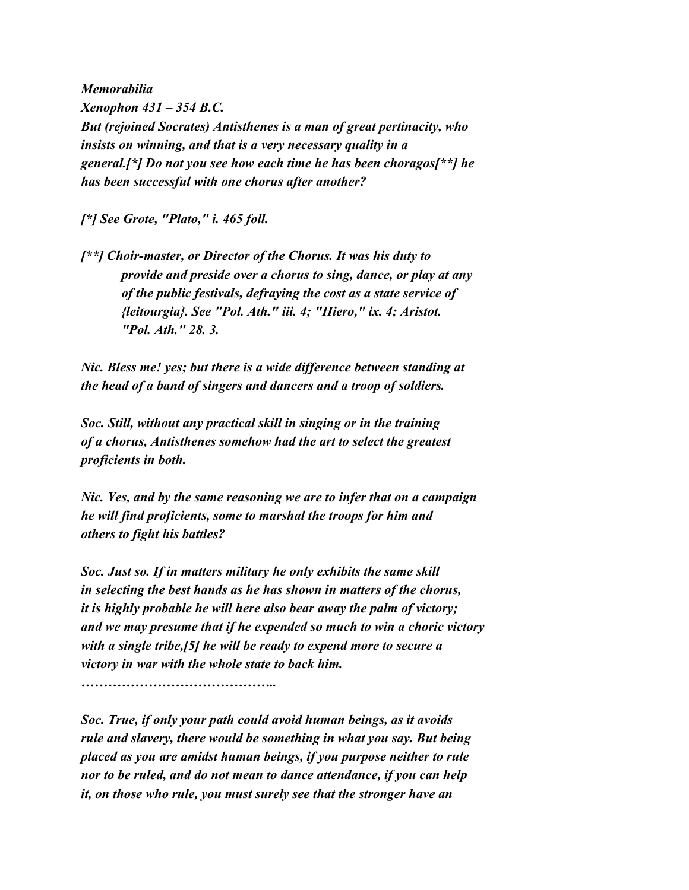*Memorabilia Xenophon 431 – 354 B.C. But (rejoined Socrates) Antisthenes is a man of great pertinacity, who insists on winning, and that is a very necessary quality in a general.[\*] Do not you see how each time he has been choragos[\*\*] he has been successful with one chorus after another?*

*[\*] See Grote, "Plato," i. 465 foll.*

*[\*\*] Choir-master, or Director of the Chorus. It was his duty to provide and preside over a chorus to sing, dance, or play at any of the public festivals, defraying the cost as a state service of {leitourgia}. See "Pol. Ath." iii. 4; "Hiero," ix. 4; Aristot. "Pol. Ath." 28. 3.*

*Nic. Bless me! yes; but there is a wide difference between standing at the head of a band of singers and dancers and a troop of soldiers.*

*Soc. Still, without any practical skill in singing or in the training of a chorus, Antisthenes somehow had the art to select the greatest proficients in both.*

*Nic. Yes, and by the same reasoning we are to infer that on a campaign he will find proficients, some to marshal the troops for him and others to fight his battles?*

*Soc. Just so. If in matters military he only exhibits the same skill in selecting the best hands as he has shown in matters of the chorus, it is highly probable he will here also bear away the palm of victory; and we may presume that if he expended so much to win a choric victory with a single tribe,[5] he will be ready to expend more to secure a victory in war with the whole state to back him.*

*……………………………………..*

*Soc. True, if only your path could avoid human beings, as it avoids rule and slavery, there would be something in what you say. But being placed as you are amidst human beings, if you purpose neither to rule nor to be ruled, and do not mean to dance attendance, if you can help it, on those who rule, you must surely see that the stronger have an*